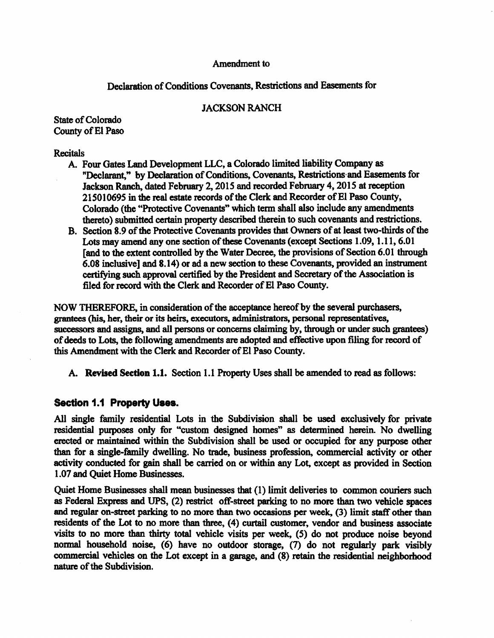#### **Amendment to**

# **Declaration of Conditions Covenants, Restrictions and Easements for**

## **JACKSON RANCH**

**State of Colorado County of El Paso** 

#### **Recitals**

- **A. Four Gates Land Development LLC, a Colorado limited liability Company as "Declarant," by Declaration of Conditions, Covenants, Restrictions and Easements for Jackson Ranch, dated February 2, 2015 and recorded February 4, 2015 at reception 215010695 in the real estate records of the Clerk and Recorder of El Paso County, Colorado (the "Protective Covenants" which term shall also include any amendments thereto) submitted certain property described therein to such covenants and restrictions.**
- **B. Section 8.9 of the Protective Covenants provides that Owners of at least two-thirds of the Lots may amend any one section of these Covenants (except Sections 1.09, 1.11, 6.01 [and to the extent controlled by the Water Decree, the provisions of Section 6.01 through 6.08 inclusive] and 8.14) or ad a new section to these Covenants, provided an instrument certifying such approval certified by the President and Secretary of the Association is filed for record with the Clerk and Recorder of El Paso County.**

**NOW THEREFORE, in consideration of the acceptance hereof by the several purchasers, grantees (his, her, their or its heirs, executors, administrators, personal representatives, successors and assigns, and all persons or concerns claiming by, through or under such grantees) of deeds to Lots, the following amendments are adopted and effective upon filing for record of this Amendment with the Clerk and Recorder of El Paso County.** 

**A. Revised Section 1.1. Section 1.1 Property Uses shall be amended to read as follows:** 

## **Section 1.1 Property Uses.**

**All single family residential Lots in the Subdivision shall be used exclusively for private residential purposes only for "custom designed homes" as determined herein. No dwelling erected or maintained within the Subdivision shall be used or occupied for any purpose other than for a single-family dwelling. No trade, business profession, commercial activity or other activity conducted for gain shall be carried on or within any Lot, except as provided in Section 1.07 and Quiet Home Businesses.** 

**Quiet Home Businesses shall mean businesses that (1) limit deliveries to common couriers such as Federal Express and UPS, (2) restrict off-street parking to no more than two vehicle spaces and regular on-street parking to no more than two occasions per week, (3) limit staff other than residents of the Lot to no more than three, (4) curtail customer, vendor and business associate visits to no more than thirty total vehicle visits per week,** *(5)* **do not produce noise beyond normal household noise, (6) have no outdoor storage, (7) do not regularly park visibly commercial vehicles on the Lot except in a garage, and (8) retain the residential neighborhood nature of the Subdivision.**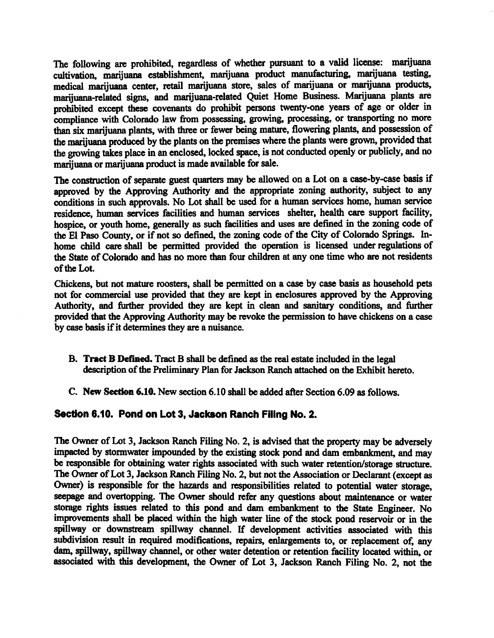The following are prohibited, regardless of whether pursuant to a valid license: marijuana cultivation, marijuana establishment, marijuana product manufacturing, marijuana testing, medical marijuana center, retail marijuana store, sales of marijuana or marijuana products, marijuana-related signs, and marijuana-related Quiet Home Business. Marijuana plants are prohibited except these covenants do prohibit persons twenty-one years of age or older in compliance with Colorado law from possessing, growing, processing, or transporting no more than six marijuana plants, with three or fewer being mature, flowering plants, and possession of the marijuana produced by the plants on the premises where the plants were grown, provided that the growing takes place in an enclosed, locked space, is not conducted openly or publicly, and no marijuana or marijuana product is made available for sale.

The construction of separate guest quarters may be allowed on a Lot on a case-by-case basis if approved by the Approving Authority and the appropriate zoning authority, subject to any conditions in such approvals. No Lot shall be used for a human services home, human service residence, human services facilities and human services shelter, health care support facility, hospice, or youth home, generally as such facilities and uses are defined in the zoning code of the El Paso County, or if not so defined, the zoning code of the City of Colorado Springs. Inhome child care shall be permitted provided the operation is licensed under regulations of the State of Colorado and has no more than four children at any one time who are not residents of the Lot.

Chickens, but not mature roosters, shall be permitted on a case by case basis as household pets not for commercial use provided that they are kept in enclosures approved by the Approving Authority, and further provided they are kept in clean and sanitary conditions, and further provided that the Approving Authority may be revoke the permission to have chickens on a case by case basis if it determines they are a nuisance.

- B. Tract B Defined. Tract B shall be defined as the real estate included in the legal description of the Preliminary Plan for Jackson Ranch attached on the Exhibit hereto.
- C. New Section 6.10. New section 6.10 shall be added after Section 6.09 as follows.

## Section 6.10. Pond on Lot 3, Jackson Ranch Filing No. 2.

The Owner of Lot 3, Jackson Ranch Filing No. 2, is advised that the property may be adversely impacted by stormwater impounded by the existing stock pond and dam embankment, and may be responsible for obtaining water rights associated with such water retention/storage structure. The Owner of Lot 3, Jackson Ranch Filing No. 2, but not the Association or Declarant (except as Owner) is responsible for the hazards and responsibilities related to potential water storage, seepage and overtopping. The Owner should refer any questions about maintenance or water storage rights issues related to this pond and dam embankment to the State Engineer. No improvements shall be placed within the high water line of the stock pond reservoir or in the spillway or downstream spillway channel. If development activities associated with this subdivision result in required modifications, repairs, enlargements to, or replacement of, any dam, spillway, spillway channel, or other water detention or retention facility located within, or associated with this development, the Owner of Lot 3, Jackson Ranch Filing No. 2, not the